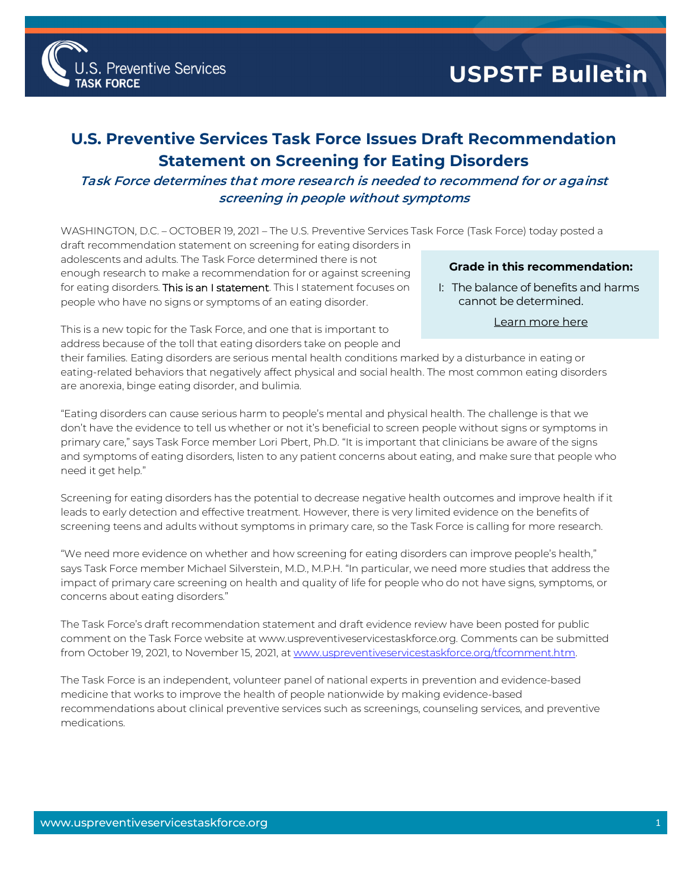

## **U.S. Preventive Services Task Force Issues Draft Recommendation Statement on Screening for Eating Disorders**

## **Task Force determines that more research is needed to recommend for or against screening in people without symptoms**

WASHINGTON, D.C. – OCTOBER 19, 2021 – The U.S. Preventive Services Task Force (Task Force) today posted a

draft recommendation statement on screening for eating disorders in adolescents and adults. The Task Force determined there is not enough research to make a recommendation for or against screening for eating disorders. This is an I statement. This I statement focuses on people who have no signs or symptoms of an eating disorder.

Preventive Services

## **Grade in this recommendation:**

I: The balance of benefits and harms cannot be determined.

This is a new topic for the Task Force, and one that is important to **[Learn more here](http://www.uspreventiveservicestaskforce.org/Page/Name/grade-definitions)** address because of the toll that eating disorders take on people and

their families. Eating disorders are serious mental health conditions marked by a disturbance in eating or eating-related behaviors that negatively affect physical and social health. The most common eating disorders are anorexia, binge eating disorder, and bulimia.

"Eating disorders can cause serious harm to people's mental and physical health. The challenge is that we don't have the evidence to tell us whether or not it's beneficial to screen people without signs or symptoms in primary care," says Task Force member Lori Pbert, Ph.D. "It is important that clinicians be aware of the signs and symptoms of eating disorders, listen to any patient concerns about eating, and make sure that people who need it get help."

Screening for eating disorders has the potential to decrease negative health outcomes and improve health if it leads to early detection and effective treatment. However, there is very limited evidence on the benefits of screening teens and adults without symptoms in primary care, so the Task Force is calling for more research.

"We need more evidence on whether and how screening for eating disorders can improve people's health," says Task Force member Michael Silverstein, M.D., M.P.H. "In particular, we need more studies that address the impact of primary care screening on health and quality of life for people who do not have signs, symptoms, or concerns about eating disorders."

The Task Force's draft recommendation statement and draft evidence review have been posted for public comment on the Task Force website at www.uspreventiveservicestaskforce.org. Comments can be submitted from October 19, 2021, to November 15, 2021, at www.uspreventiveservicestaskforce.org/tfcomment.htm.

The Task Force is an independent, volunteer panel of national experts in prevention and evidence-based medicine that works to improve the health of people nationwide by making evidence-based recommendations about clinical preventive services such as screenings, counseling services, and preventive medications.